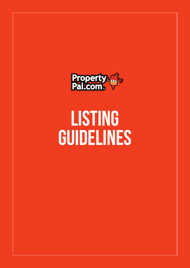

# LISTING GUIDELINES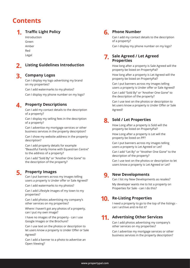### **Contents**

#### **1. Traffic Light Policy**

Introduction Green Amber Red Legal

#### **2. Listing Guidelines Introduction**

#### **3. Company Logos**

Can I display my logo advertising my brand on my properties?

Can I add watermarks to my photos?

Can I display my phone number on my logo?

**4.** 

#### **Property Descriptions**

Can I add my contact details to the description of a property?

Can I display my selling fees in the description of a property?

Can I advertise my mortgage services or other business services in the property description?

Can I show my website address in the property description?

Can I add property details for example "Beautiful Family Home with Equestrian Centre" to the address of a property?

Can I add "Sold By" or "Another One Gone" to the description of the property?

### **5. Property Images**

Can I put banners across my images telling users a property is Under offer or Sale Agreed?

Can I add watermarks to my photos?

Can I add Lifestyle images of my town to my properties?

Can I add photos advertising my company's other services on my properties?

Where I haven't got any photos of a property, can I put my own image?

I have no images of the property - can I use Google Images or the Brochure?

Can I use text on the photos or description to let users know a property is Under Offer or Sale Agreed?

Can I add a banner to a photo to advertise an Open Viewing?

### **6. Phone Number**

Can I add my contact details to the description of a property?

Can I display my phone number on my logo?

#### **7. Sale Agreed / Let Agreed Properties**

How long after a property is Sale Agreed will the property be listed on PropertyPal?

How long after a property is Let Agreed will the property be listed on PropertyPal?

Can I put banners across my images telling users a property is Under offer or Sale Agreed?

Can I add "Sold By" or "Another One Gone" to the description of the property?

Can I use text on the photos or description to let users know a property is Under Offer or Sale Agreed?

#### **8. Sold / Let Properties**

How Long after a property is Sold will the property be listed on PropertyPal?

How Long after a property is Let will the property be listed on PP?

Can I put banners across my images telling users a property is Let Agreed or Let?

Can I add "Let By" or "Another One Gone" to the description of the property?

Can I use text on the photos or description to let users know a property is Let Agreed or Let?

#### **9. New Developments**

Can I list my New Developments as resales? My developer wants me to list a property on Properties for Sale - can I do this?

#### **10. Re-Listing Properties**

I need a property to go to the top of the listings can I archive and re-list it?

### **11. Advertising Other Services**

Can I add photos advertising my company's other services on my properties?

Can I advertise my mortgage services or other business services in the property description?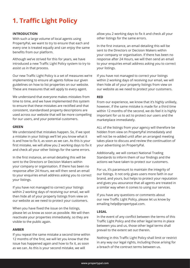# **1. Traffic Light Policy**

#### **INTRODUCTION**

With such a large volume of local agents using PropertyPal, we want to try to ensure that each and every one is treated equally and can enjoy the same benefits from our platform.

Although we've strived for this for years, we have introduced a new Traffic Light Policy system to try to assist us in that process.

Our new Traffic Light Policy is a set of measures we're implementing to ensure all agents follow our given guidelines on how to list properties on our website. These are measures that will apply to every agent.

We understand that everyone makes mistakes from time to time, and we have implemented this system to ensure that these mistakes are rectified and that consistent, standardised property descriptions are used across our website that will be more compelling for our users, and your potential customers.

#### **GREEN**

We understand that mistakes happen. So, if we spot a mistake in your listings we'll let you know what it is and how to fix it, as soon as we can. As this is your first mistake, we will allow you 2 working days to fix it and check all your other listings for the same errors.

In the first instance, an email detailing this will be sent to the Directors or Decision Makers within your company or organisation. If there has been no response after 24 Hours, we will then send an email to your enquiries email address asking you to correct your listings.

If you have not managed to correct your listings within 2 working days of receiving our email, we will then hide all of your property listings from view on our website as we need to protect your customers.

When you have fixed the issue on the listings, please let us know as soon as possible. We will then reactivate your properties immediately, so they are visible to the public again.

#### **AMBER**

If you repeat the same mistake a second time within 12 months of the first, we will let you know that the issue has happened again and how to fix it, as soon as we can. As this is your second mistake, we will

allow you 2 working days to fix it and check all your other listings for the same errors.

In the first instance, an email detailing this will be sent to the Directors or Decision Makers within your company or organisation. If there has been no response after 24 Hours, we will then send an email to your enquiries email address asking you to correct your listings.

If you have not managed to correct your listings within 2 working days of receiving our email, we will then hide all of your property listings from view on our website as we need to protect your customers.

#### **RED**

From our experience, we know that it's highly unlikely, however, if the same mistake is made for a third time within 12 months of the second, we do feel it is highly important for us to act to protect our users and the marketplace immediately.

ALL of the listings from your agency will therefore be hidden from view on PropertyPal immediately and will not be re-added until after an arranged meeting takes place to discuss and review the continuation of your advertising on PropertyPal.

Additionally, we will contact National Trading Standards to inform them of our findings and the actions we have taken to protect our customers.

For us, it's paramount to maintain the integrity of our listings. It not only gives users more faith in our brand, and yours, but helps to protect your reputation and gives you assurance that all agents are treated in a similar way when it comes to using our services.

If you have any questions or comments about our new Traffic Light Policy, please let us know by emailing help@propertypal.com.

#### **LEGAL**

In the event of any conflict between the terms of this Traffic Light Policy and the other legal terms in place between you and us, those other legal terms shall prevail to the extent set out therein.

Nothing in this Traffic Light Policy shall limit or restrict in any way our legal rights, including those arising for a breach of the contract terms between us.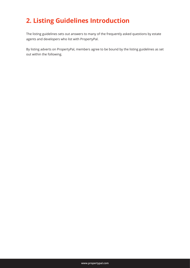# **2. Listing Guidelines Introduction**

The listing guidelines sets out answers to many of the frequently asked questions by estate agents and developers who list with PropertyPal.

By listing adverts on PropertyPal, members agree to be bound by the listing guidelines as set out within the following.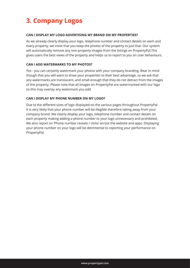# **3. Company Logos**

#### **CAN I DISPLAY MY LOGO ADVERTISING MY BRAND ON MY PROPERTIES?**

As we already clearly display your logo, telephone number and contact details on each and every property, we insist that you keep the photos of the property to just that. Our system will automatically remove any non-property images from the listings on PropertyPal.This gives users the best views of the property and helps us to report to you on user behaviours.

#### **CAN I ADD WATERMARKS TO MY PHOTOS?**

Yes - you can certainly watermark your photos with your company branding. Bear in mind though that you will want to show your properties to their best advantage, so we ask that any watermarks are translucent, and small enough that they do not detract from the images of the property. Please note that all images on PropertyPal are watermarked with our logo so this may overlay any watermark you add.

#### **CAN I DISPLAY MY PHONE NUMBER ON MY LOGO?**

Due to the different sizes of logo displayed on the various pages throughout PropertyPal it is very likely that your phone number will be illegible therefore taking away from your company brand. We clearly display your logo, telephone number and contact details on each property making adding a phone number to your logo unnecessary and prohibited. We also report on 'Phone number reveals / clicks' across the website and apps. Displaying your phone number on your logo will be detrimental to reporting your performance on PropertyPal.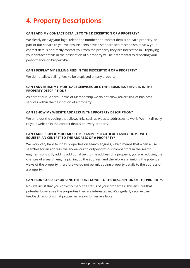### **4. Property Descriptions**

#### **CAN I ADD MY CONTACT DETAILS TO THE DESCRIPTION OF A PROPERTY?**

We clearly display your logo, telephone number and contact details on each property. As part of our service to you we ensure users have a standardised mechanism to view your contact details or directly contact you from the property they are interested in. Displaying your contact details in the description of a property will be detrimental to reporting your performance on PropertyPal.

#### **CAN I DISPLAY MY SELLING FEES IN THE DESCRIPTION OF A PROPERTY?**

We do not allow selling fees to be displayed on any property.

#### **CAN I ADVERTISE MY MORTGAGE SERVICES OR OTHER BUSINESS SERVICES IN THE PROPERTY DESCRIPTION?**

As part of our General Terms of Membership we do not allow advertising of business services within the description of a property.

#### **CAN I SHOW MY WEBSITE ADDRESS IN THE PROPERTY DESCRIPTION?**

We strip out the coding that allows links such as website addresses to work. We link directly to your website in the contact details on every property.

#### **CAN I ADD PROPERTY DETAILS FOR EXAMPLE "BEAUTIFUL FAMILY HOME WITH EQUESTRIAN CENTRE" TO THE ADDRESS OF A PROPERTY?**

We work very hard to index properties on search engines, which means that when a user searches for an address, we endeavour to outperform our competitors in the search engines listings. By adding additional text to the address of a property, you are reducing the chances of a search engine picking up the address, and therefore are limiting the potential views of the property, therefore we do not permit adding property details to the address of a property.

#### **CAN I ADD "SOLD BY" OR "ANOTHER ONE GONE" TO THE DESCRIPTION OF THE PROPERTY?**

No - we insist that you correctly mark the status of your properties. This ensures that potential buyers see the properties they are interested in. We regularly receive user feedback reporting that properties are no longer available.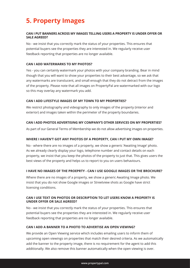### **5. Property Images**

#### **CAN I PUT BANNERS ACROSS MY IMAGES TELLING USERS A PROPERTY IS UNDER OFFER OR SALE AGREED?**

No - we insist that you correctly mark the status of your properties. This ensures that potential buyers see the properties they are interested in. We regularly receive user feedback reporting that properties are no longer available.

#### **CAN I ADD WATERMARKS TO MY PHOTOS?**

Yes - you can certainly watermark your photos with your company branding. Bear in mind though that you will want to show your properties to their best advantage, so we ask that any watermarks are translucent, and small enough that they do not detract from the images of the property. Please note that all images on PropertyPal are watermarked with our logo so this may overlay any watermark you add.

#### **CAN I ADD LIFESTYLE IMAGES OF MY TOWN TO MY PROPERTIES?**

We restrict photography and videography to only images of the property (interior and exterior) and images taken within the perimeter of the property boundaries.

#### **CAN I ADD PHOTOS ADVERTISING MY COMPANY'S OTHER SERVICES ON MY PROPERTIES?**

As part of our General Terms of Membership we do not allow advertising images on properties.

#### **WHERE I HAVEN'T GOT ANY PHOTOS OF A PROPERTY, CAN I PUT MY OWN IMAGE?**

No - where there are no images of a property, we show a generic 'Awaiting Image' photo. As we already clearly display your logo, telephone number and contact details on each property, we insist that you keep the photos of the property to just that. This gives users the best views of the property and helps us to report to you on users behaviours.

#### **I HAVE NO IMAGES OF THE PROEPRTY - CAN I USE GOOGLE IMAGES OR THE BROCHURE?**

Where there are no images of a property, we show a generic Awaiting Image photo. We insist that you do not show Google images or Streetview shots as Google have strict licensing conditions.

#### **CAN I USE TEXT ON PHOTOS OR DESCRIPTION TO LET USERS KNOW A PROPERTY IS UNDER OFFER OR SALE AGREED?**

No - we insist that you correctly mark the status of your properties. This ensures that potential buyers see the properties they are interested in. We regularly receive user feedback reporting that properties are no longer available.

#### **CAN I ADD A BANNER TO A PHOTO TO ADVERTISE AN OPEN VIEWING?**

We provide an Open Viewing service which includes emailing users to inform them of upcoming open viewings on properties that match their desired criteria. As we automatically add the banner to the property image, there is no requirement for the agent to add this additionally. We also remove this banner automatically when the open viewing is over.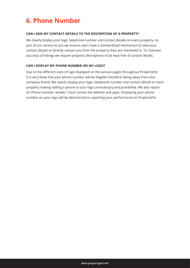### **6. Phone Number**

#### **CAN I ADD MY CONTACT DETAILS TO THE DESCRIPTION OF A PROPERTY?**

We clearly display your logo, telephone number and contact details on every property. As part of our service to you we ensure users have a standardised mechanism to view your contact details or directly contact you from the property they are interested in. To maintain accuracy of listings we require property descriptions to be kept free of contact details.

#### **CAN I DISPLAY MY PHONE NUMBER ON MY LOGO?**

Due to the different sizes of logo displayed on the various pages throughout PropertyPal it is very likely that your phone number will be illegible therefore taking away from your company brand. We clearly display your logo, telephone number and contact details on each property making adding a phone to your logo unnecessary and prohibited. We also report on 'Phone number reveals / clicks' across the website and apps. Displaying your phone number on your logo will be detrimental to reporting your performance on PropertyPal.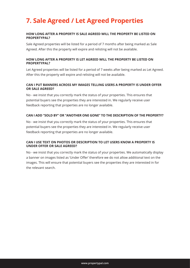### **7. Sale Agreed / Let Agreed Properties**

#### **HOW LONG AFTER A PROPERTY IS SALE AGREED WILL THE PROPERTY BE LISTED ON PROPERTYPAL?**

Sale Agreed properties will be listed for a period of 7 months after being marked as Sale Agreed. After this the property will expire and relisting will not be available.

#### **HOW LONG AFTER A PROPERTY IS LET AGREED WILL THE PROPERTY BE LISTED ON PROPERTYPAL?**

Let Agreed properties will be listed for a period of 7 weeks after being marked as Let Agreed. After this the property will expire and relisting will not be available.

#### **CAN I PUT BANNERS ACROSS MY IMAGES TELLING USERS A PROPERTY IS UNDER OFFER OR SALE AGREED?**

No - we insist that you correctly mark the status of your properties. This ensures that potential buyers see the properties they are interested in. We regularly receive user feedback reporting that properties are no longer available.

#### **CAN I ADD "SOLD BY" OR "ANOTHER ONE GONE" TO THE DESCRIPTION OF THE PROPERTY?**

No - we insist that you correctly mark the status of your properties. This ensures that potential buyers see the properties they are interested in. We regularly receive user feedback reporting that properties are no longer available.

#### **CAN I USE TEXT ON PHOTOS OR DESCRIPTION TO LET USERS KNOW A PROPERTY IS UNDER OFFER OR SALE AGREED?**

No - we insist that you correctly mark the status of your properties. We automatically display a banner on images listed as 'Under Offer' therefore we do not allow additional text on the images. This will ensure that potential buyers see the properties they are interested in for the relevant search.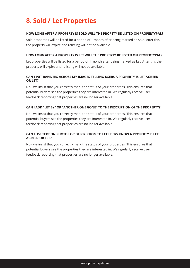### **8. Sold / Let Properties**

#### **HOW LONG AFTER A PROPERTY IS SOLD WILL THE PROPETY BE LISTED ON PROPERTYPAL?**

Sold properties will be listed for a period of 1 month after being marked as Sold. After this the property will expire and relisting will not be available.

#### **HOW LONG AFTER A PROPERTY IS LET WILL THE PROPERTY BE LISTED ON PROPERTYPAL?**

Let properties will be listed for a period of 1 month after being marked as Let. After this the property will expire and relisting will not be available.

#### **CAN I PUT BANNERS ACROSS MY IMAGES TELLING USERS A PROPERTY IS LET AGREED OR LET?**

No - we insist that you correctly mark the status of your properties. This ensures that potential buyers see the properties they are interested in. We regularly receive user feedback reporting that properties are no longer available.

#### **CAN I ADD "LET BY" OR "ANOTHER ONE GONE" TO THE DESCRIPTION OF THE PROPERTY?**

No - we insist that you correctly mark the status of your properties. This ensures that potential buyers see the properties they are interested in. We regularly receive user feedback reporting that properties are no longer available.

#### **CAN I USE TEXT ON PHOTOS OR DESCRIPTION TO LET USERS KNOW A PROPERTY IS LET AGREED OR LET?**

No - we insist that you correctly mark the status of your properties. This ensures that potential buyers see the properties they are interested in. We regularly receive user feedback reporting that properties are no longer available.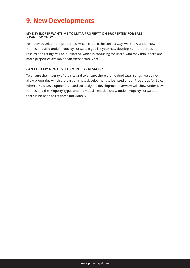### **9. New Developments**

#### **MY DEVELOPER WANTS ME TO LIST A PROPERTY ON PROPERTIES FOR SALE - CAN I DO THIS?**

Yes, New Development properties, when listed in the correct way, will show under New Homes and also under Property For Sale. If you list your new development properties as resales, the listings will be duplicated, which is confusing for users, who may think there are more properties available than there actually are.

#### **CAN I LIST MY NEW DEVELOPMENTS AS RESALES?**

To ensure the integrity of the site and to ensure there are no duplicate listings, we do not allow properties which are part of a new development to be listed under Properties for Sale. When a New Development is listed correctly the development overview will show under New Homes and the Property Types and individual sites also show under Property For Sale, so there is no need to list these individually.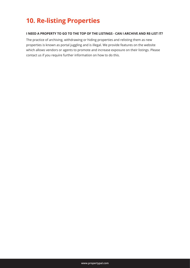### **10. Re-listing Properties**

#### **I NEED A PROPERTY TO GO TO THE TOP OF THE LISTINGS - CAN I ARCHIVE AND RE-LIST IT?**

The practice of archiving, withdrawing or hiding properties and relisting them as new properties is known as portal juggling and is illegal. We provide features on the website which allows vendors or agents to promote and increase exposure on their listings. Please contact us if you require further information on how to do this.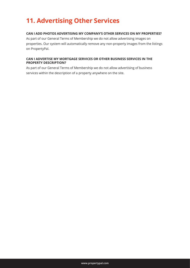### **11. Advertising Other Services**

#### **CAN I ADD PHOTOS ADVERTISING MY COMPANY'S OTHER SERVICES ON MY PROPERTIES?**

As part of our General Terms of Membership we do not allow advertising images on properties. Our system will automatically remove any non-property images from the listings on PropertyPal.

#### **CAN I ADVERTISE MY MORTGAGE SERVICES OR OTHER BUSINESS SERVICES IN THE PROPERTY DESCRIPTION?**

As part of our General Terms of Membership we do not allow advertising of business services within the description of a property anywhere on the site.